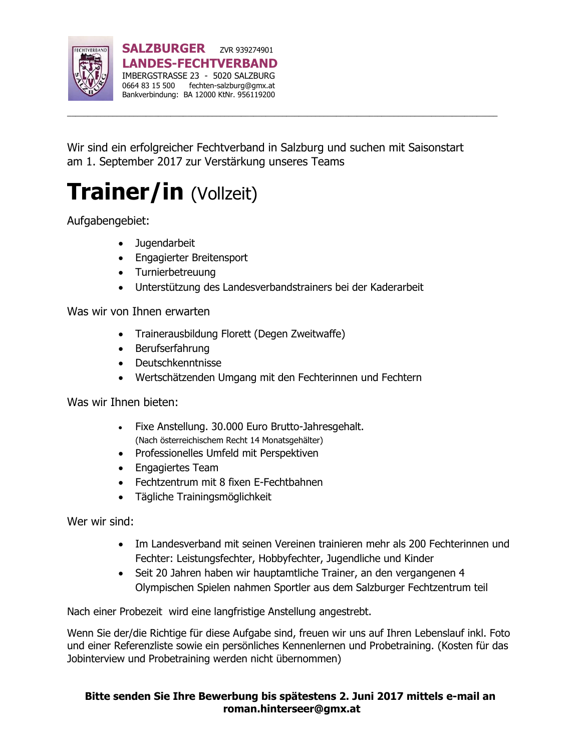

Wir sind ein erfolgreicher Fechtverband in Salzburg und suchen mit Saisonstart am 1. September 2017 zur Verstärkung unseres Teams

# **Trainer/in** (Vollzeit)

Aufgabengebiet:

- **Jugendarbeit**
- Engagierter Breitensport
- Turnierbetreuung
- Unterstützung des Landesverbandstrainers bei der Kaderarbeit

Was wir von Ihnen erwarten

- Trainerausbildung Florett (Degen Zweitwaffe)
- Berufserfahrung
- Deutschkenntnisse
- Wertschätzenden Umgang mit den Fechterinnen und Fechtern

Was wir Ihnen bieten:

- Fixe Anstellung. 30.000 Euro Brutto-Jahresgehalt. (Nach österreichischem Recht 14 Monatsgehälter)
- Professionelles Umfeld mit Perspektiven
- Engagiertes Team
- Fechtzentrum mit 8 fixen E-Fechtbahnen
- Tägliche Trainingsmöglichkeit

Wer wir sind:

- Im Landesverband mit seinen Vereinen trainieren mehr als 200 Fechterinnen und Fechter: Leistungsfechter, Hobbyfechter, Jugendliche und Kinder
- Seit 20 Jahren haben wir hauptamtliche Trainer, an den vergangenen 4 Olympischen Spielen nahmen Sportler aus dem Salzburger Fechtzentrum teil

Nach einer Probezeit wird eine langfristige Anstellung angestrebt.

Wenn Sie der/die Richtige für diese Aufgabe sind, freuen wir uns auf Ihren Lebenslauf inkl. Foto und einer Referenzliste sowie ein persönliches Kennenlernen und Probetraining. (Kosten für das Jobinterview und Probetraining werden nicht übernommen)

#### **Bitte senden Sie Ihre Bewerbung bis spätestens 2. Juni 2017 mittels e-mail an [roman.hinterseer@gmx.at](mailto:roman.hinterseer@gmx.at)**